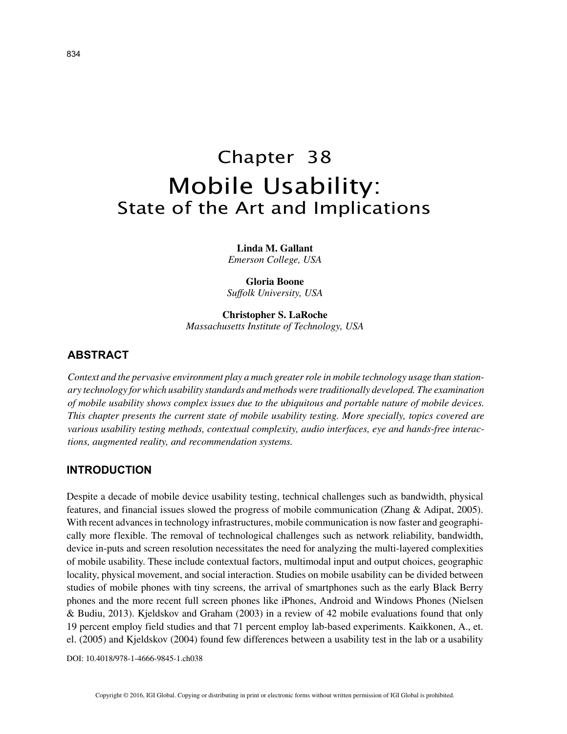# Chapter 38 Mobile Usability: State of the Art and Implications

**Linda M. Gallant** *Emerson College, USA*

**Gloria Boone** *Suffolk University, USA*

**Christopher S. LaRoche** *Massachusetts Institute of Technology, USA*

## **ABSTRACT**

*Context and the pervasive environment play a much greater role in mobile technology usage than stationary technology for which usability standards and methods were traditionally developed. The examination of mobile usability shows complex issues due to the ubiquitous and portable nature of mobile devices. This chapter presents the current state of mobile usability testing. More specially, topics covered are various usability testing methods, contextual complexity, audio interfaces, eye and hands-free interactions, augmented reality, and recommendation systems.*

### **INTRODUCTION**

Despite a decade of mobile device usability testing, technical challenges such as bandwidth, physical features, and financial issues slowed the progress of mobile communication (Zhang & Adipat, 2005). With recent advances in technology infrastructures, mobile communication is now faster and geographically more flexible. The removal of technological challenges such as network reliability, bandwidth, device in-puts and screen resolution necessitates the need for analyzing the multi-layered complexities of mobile usability. These include contextual factors, multimodal input and output choices, geographic locality, physical movement, and social interaction. Studies on mobile usability can be divided between studies of mobile phones with tiny screens, the arrival of smartphones such as the early Black Berry phones and the more recent full screen phones like iPhones, Android and Windows Phones (Nielsen & Budiu, 2013). Kjeldskov and Graham (2003) in a review of 42 mobile evaluations found that only 19 percent employ field studies and that 71 percent employ lab-based experiments. Kaikkonen, A., et. el. (2005) and Kjeldskov (2004) found few differences between a usability test in the lab or a usability

DOI: 10.4018/978-1-4666-9845-1.ch038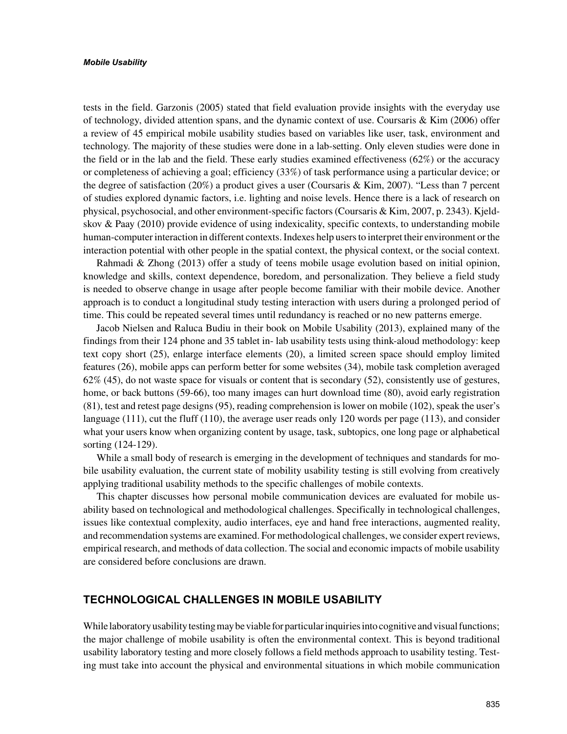#### *Mobile Usability*

tests in the field. Garzonis (2005) stated that field evaluation provide insights with the everyday use of technology, divided attention spans, and the dynamic context of use. Coursaris  $\&$  Kim (2006) offer a review of 45 empirical mobile usability studies based on variables like user, task, environment and technology. The majority of these studies were done in a lab-setting. Only eleven studies were done in the field or in the lab and the field. These early studies examined effectiveness (62%) or the accuracy or completeness of achieving a goal; efficiency (33%) of task performance using a particular device; or the degree of satisfaction (20%) a product gives a user (Coursaris & Kim, 2007). "Less than 7 percent of studies explored dynamic factors, i.e. lighting and noise levels. Hence there is a lack of research on physical, psychosocial, and other environment-specific factors (Coursaris & Kim, 2007, p. 2343). Kjeldskov & Paay (2010) provide evidence of using indexicality, specific contexts, to understanding mobile human-computer interaction in different contexts. Indexes help users to interpret their environment or the interaction potential with other people in the spatial context, the physical context, or the social context.

Rahmadi & Zhong (2013) offer a study of teens mobile usage evolution based on initial opinion, knowledge and skills, context dependence, boredom, and personalization. They believe a field study is needed to observe change in usage after people become familiar with their mobile device. Another approach is to conduct a longitudinal study testing interaction with users during a prolonged period of time. This could be repeated several times until redundancy is reached or no new patterns emerge.

Jacob Nielsen and Raluca Budiu in their book on Mobile Usability (2013), explained many of the findings from their 124 phone and 35 tablet in- lab usability tests using think-aloud methodology: keep text copy short (25), enlarge interface elements (20), a limited screen space should employ limited features (26), mobile apps can perform better for some websites (34), mobile task completion averaged 62% (45), do not waste space for visuals or content that is secondary (52), consistently use of gestures, home, or back buttons (59-66), too many images can hurt download time (80), avoid early registration (81), test and retest page designs (95), reading comprehension is lower on mobile (102), speak the user's language (111), cut the fluff (110), the average user reads only 120 words per page (113), and consider what your users know when organizing content by usage, task, subtopics, one long page or alphabetical sorting (124-129).

While a small body of research is emerging in the development of techniques and standards for mobile usability evaluation, the current state of mobility usability testing is still evolving from creatively applying traditional usability methods to the specific challenges of mobile contexts.

This chapter discusses how personal mobile communication devices are evaluated for mobile usability based on technological and methodological challenges. Specifically in technological challenges, issues like contextual complexity, audio interfaces, eye and hand free interactions, augmented reality, and recommendation systems are examined. For methodological challenges, we consider expert reviews, empirical research, and methods of data collection. The social and economic impacts of mobile usability are considered before conclusions are drawn.

## **TECHNOLOGICAL CHALLENGES IN MOBILE USABILITY**

While laboratory usability testing may be viable for particular inquiries into cognitive and visual functions; the major challenge of mobile usability is often the environmental context. This is beyond traditional usability laboratory testing and more closely follows a field methods approach to usability testing. Testing must take into account the physical and environmental situations in which mobile communication